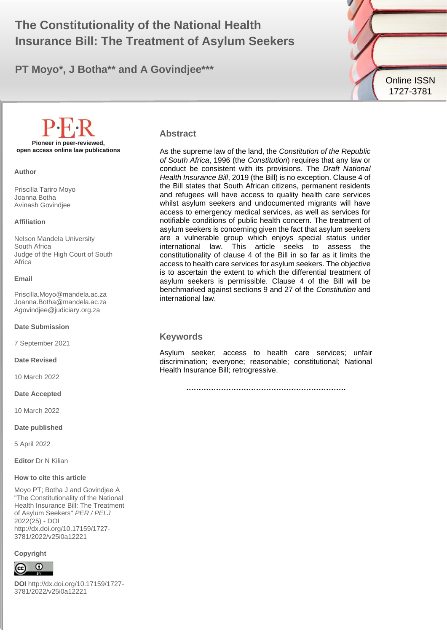# The Constitutionality of the National Health **1996 Insurance Bill: The Treatment of Asylum Seekers**

**PT Moyo\*, J Botha\*\* and A Govindjee\*\*\***



**Pioneer in peer-reviewed, open access online law publications**

**Author**

Priscilla Tariro Moyo Joanna Botha Avinash Govindjee

#### **Affiliation**

Nelson Mandela University South Africa Judge of the High Court of South Africa

#### **Email**

Priscilla.Moyo@mandela.ac.za Joanna.Botha@mandela.ac.za [Agovindjee@judiciary.org.za](mailto:Agovindjee@judiciary.org.za)

**Date Submission**

7 September 2021

**Date Revised**

10 March 2022

**Date Accepted**

10 March 2022

**Date published**

5 April 2022

**Editor** Dr N Kilian

#### **How to cite this article**

Moyo PT; Botha J and Govindjee A "The Constitutionality of the National Health Insurance Bill: The Treatment of Asylum Seekers" *PER / PELJ* 2022(25) - DOI http://dx.doi.org/10.17159/1727- 3781/2022/v25i0a12221

#### **Copyright**



**DOI** http://dx.doi.org/10.17159/1727- 3781/2022/v25i0a12221

#### **Abstract**

As the supreme law of the land, the *Constitution of the Republic of South Africa*, 1996 (the *Constitution*) requires that any law or conduct be consistent with its provisions. The *Draft National Health Insurance Bill*, 2019 (the Bill) is no exception. Clause 4 of the Bill states that South African citizens, permanent residents and refugees will have access to quality health care services whilst asylum seekers and undocumented migrants will have access to emergency medical services, as well as services for notifiable conditions of public health concern. The treatment of asylum seekers is concerning given the fact that asylum seekers are a vulnerable group which enjoys special status under international law. This article seeks to assess the constitutionality of clause 4 of the Bill in so far as it limits the access to health care services for asylum seekers. The objective is to ascertain the extent to which the differential treatment of asylum seekers is permissible. Clause 4 of the Bill will be benchmarked against sections 9 and 27 of the *Constitution* and international law.

#### **Keywords**

Asylum seeker; access to health care services; unfair discrimination; everyone; reasonable; constitutional; National Health Insurance Bill; retrogressive.

**……………………………………………………….**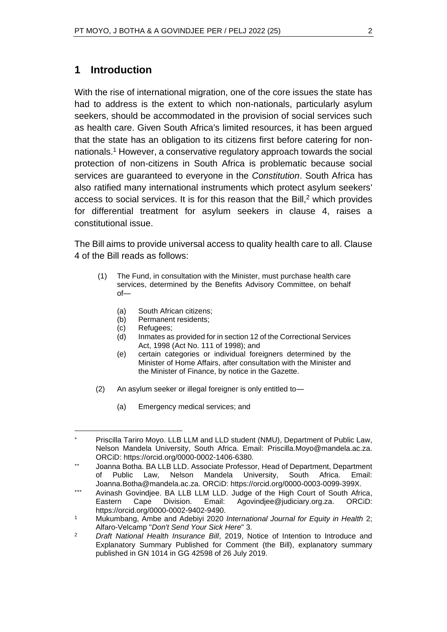## **1 Introduction**

With the rise of international migration, one of the core issues the state has had to address is the extent to which non-nationals, particularly asylum seekers, should be accommodated in the provision of social services such as health care. Given South Africa's limited resources, it has been argued that the state has an obligation to its citizens first before catering for nonnationals.<sup>1</sup> However, a conservative regulatory approach towards the social protection of non-citizens in South Africa is problematic because social services are guaranteed to everyone in the *Constitution*. South Africa has also ratified many international instruments which protect asylum seekers' access to social services. It is for this reason that the Bill, $2$  which provides for differential treatment for asylum seekers in clause 4, raises a constitutional issue.

The Bill aims to provide universal access to quality health care to all. Clause 4 of the Bill reads as follows:

- (1) The Fund, in consultation with the Minister, must purchase health care services, determined by the Benefits Advisory Committee, on behalf of—
	- (a) South African citizens;
	- (b) Permanent residents;
	- (c) Refugees;
	- (d) Inmates as provided for in section 12 of the Correctional Services Act, 1998 (Act No. 111 of 1998); and
	- (e) certain categories or individual foreigners determined by the Minister of Home Affairs, after consultation with the Minister and the Minister of Finance, by notice in the Gazette.
- (2) An asylum seeker or illegal foreigner is only entitled to—
	- (a) Emergency medical services; and

Priscilla Tariro Moyo. LLB LLM and LLD student (NMU), Department of Public Law, Nelson Mandela University, South Africa. Email: Priscilla.Moyo@mandela.ac.za. ORCiD: https://orcid.org/0000-0002-1406-6380.

Joanna Botha. BA LLB LLD. Associate Professor, Head of Department, Department of Public Law, Nelson Mandela University, South Africa. Email: Joanna.Botha@mandela.ac.za. ORCiD: https://orcid.org/0000-0003-0099-399X.

<sup>\*\*\*</sup> Avinash Govindjee. BA LLB LLM LLD. Judge of the High Court of South Africa, Eastern Cape Division. Email: [Agovindjee@judiciary.org.za.](mailto:Agovindjee@judiciary.org.za) ORCiD: [https://orcid.org/0](https://orcid.org/0000-0003-0099-399X)000-0002-9402-9490.

<sup>1</sup> Mukumbang, Ambe and Adebiyi 2020 *International Journal for Equity in Health* 2; Alfaro-Velcamp "*Don't Send Your Sick Here*" 3.

<sup>2</sup> *Draft National Health Insurance Bill*, 2019, Notice of Intention to Introduce and Explanatory Summary Published for Comment (the Bill), explanatory summary published in GN 1014 in GG 42598 of 26 July 2019.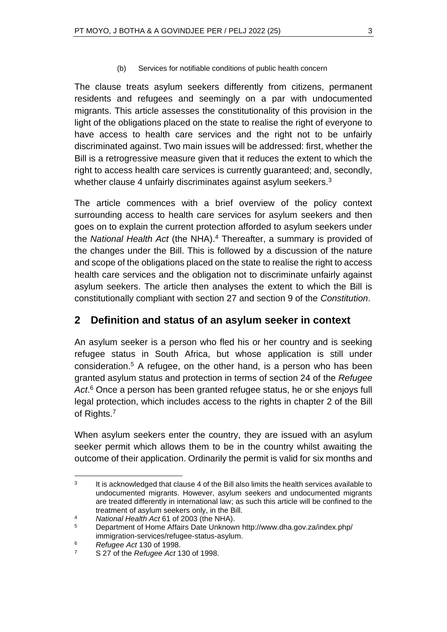(b) Services for notifiable conditions of public health concern

The clause treats asylum seekers differently from citizens, permanent residents and refugees and seemingly on a par with undocumented migrants. This article assesses the constitutionality of this provision in the light of the obligations placed on the state to realise the right of everyone to have access to health care services and the right not to be unfairly discriminated against. Two main issues will be addressed: first, whether the Bill is a retrogressive measure given that it reduces the extent to which the right to access health care services is currently guaranteed; and, secondly, whether clause 4 unfairly discriminates against asylum seekers.<sup>3</sup>

The article commences with a brief overview of the policy context surrounding access to health care services for asylum seekers and then goes on to explain the current protection afforded to asylum seekers under the *National Health Act* (the NHA).<sup>4</sup> Thereafter, a summary is provided of the changes under the Bill. This is followed by a discussion of the nature and scope of the obligations placed on the state to realise the right to access health care services and the obligation not to discriminate unfairly against asylum seekers. The article then analyses the extent to which the Bill is constitutionally compliant with section 27 and section 9 of the *Constitution*.

# **2 Definition and status of an asylum seeker in context**

An asylum seeker is a person who fled his or her country and is seeking refugee status in South Africa, but whose application is still under consideration.<sup>5</sup> A refugee, on the other hand, is a person who has been granted asylum status and protection in terms of section 24 of the *Refugee Act*. <sup>6</sup> Once a person has been granted refugee status, he or she enjoys full legal protection, which includes access to the rights in chapter 2 of the Bill of Rights.<sup>7</sup>

When asylum seekers enter the country, they are issued with an asylum seeker permit which allows them to be in the country whilst awaiting the outcome of their application. Ordinarily the permit is valid for six months and

<sup>3</sup> It is acknowledged that clause 4 of the Bill also limits the health services available to undocumented migrants. However, asylum seekers and undocumented migrants are treated differently in international law; as such this article will be confined to the treatment of asylum seekers only, in the Bill.

<sup>4</sup> *National Health Act* 61 of 2003 (the NHA).

<sup>5</sup> Department of Home Affairs Date Unknown http://www.dha.gov.za/index.php/ immigration-services/refugee-status-asylum.

<sup>6</sup> *Refugee Act* 130 of 1998.

<sup>7</sup> S 27 of the *Refugee Act* 130 of 1998.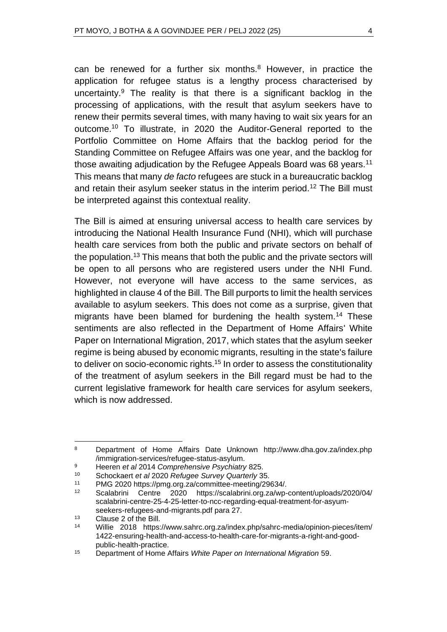can be renewed for a further six months.<sup>8</sup> However, in practice the application for refugee status is a lengthy process characterised by uncertainty. $9$  The reality is that there is a significant backlog in the processing of applications, with the result that asylum seekers have to renew their permits several times, with many having to wait six years for an outcome.<sup>10</sup> To illustrate, in 2020 the Auditor-General reported to the Portfolio Committee on Home Affairs that the backlog period for the Standing Committee on Refugee Affairs was one year, and the backlog for those awaiting adjudication by the Refugee Appeals Board was 68 years.<sup>11</sup> This means that many *de facto* refugees are stuck in a bureaucratic backlog and retain their asylum seeker status in the interim period.<sup>12</sup> The Bill must be interpreted against this contextual reality.

The Bill is aimed at ensuring universal access to health care services by introducing the National Health Insurance Fund (NHI), which will purchase health care services from both the public and private sectors on behalf of the population.<sup>13</sup> This means that both the public and the private sectors will be open to all persons who are registered users under the NHI Fund. However, not everyone will have access to the same services, as highlighted in clause 4 of the Bill. The Bill purports to limit the health services available to asylum seekers. This does not come as a surprise, given that migrants have been blamed for burdening the health system.<sup>14</sup> These sentiments are also reflected in the Department of Home Affairs' White Paper on International Migration, 2017, which states that the asylum seeker regime is being abused by economic migrants, resulting in the state's failure to deliver on socio-economic rights.<sup>15</sup> In order to assess the constitutionality of the treatment of asylum seekers in the Bill regard must be had to the current legislative framework for health care services for asylum seekers, which is now addressed.

<sup>8</sup> Department of Home Affairs Date Unknown http://www.dha.gov.za/index.php /immigration-services/refugee-status-asylum.

<sup>9</sup> Heeren *et al* 2014 *Comprehensive Psychiatry* 825.

<sup>10</sup> Schockaert *et al* 2020 *Refugee Survey Quarterly* 35.

<sup>11</sup> PMG 2020 https://pmg.org.za/committee-meeting/29634/.

<sup>12</sup> Scalabrini Centre 2020 https://scalabrini.org.za/wp-content/uploads/2020/04/ scalabrini-centre-25-4-25-letter-to-ncc-regarding-equal-treatment-for-asyumseekers-refugees-and-migrants.pdf para 27.

<sup>13</sup> Clause 2 of the Bill.

<sup>14</sup> Willie 2018 https://www.sahrc.org.za/index.php/sahrc-media/opinion-pieces/item/ 1422-ensuring-health-and-access-to-health-care-for-migrants-a-right-and-goodpublic-health-practice.

<sup>15</sup> Department of Home Affairs *White Paper on International Migration* 59.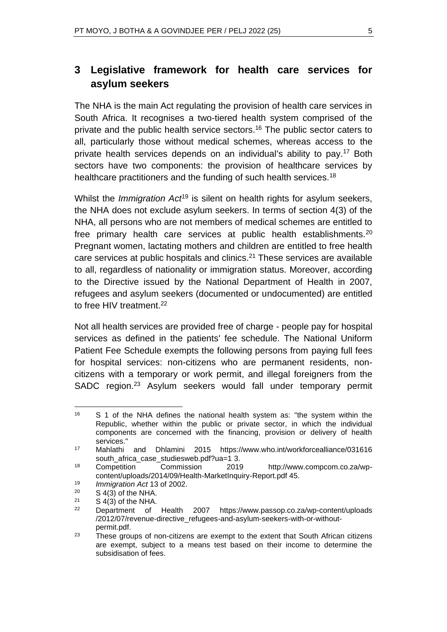# **3 Legislative framework for health care services for asylum seekers**

The NHA is the main Act regulating the provision of health care services in South Africa. It recognises a two-tiered health system comprised of the private and the public health service sectors.<sup>16</sup> The public sector caters to all, particularly those without medical schemes, whereas access to the private health services depends on an individual's ability to pay.<sup>17</sup> Both sectors have two components: the provision of healthcare services by healthcare practitioners and the funding of such health services.<sup>18</sup>

Whilst the *Immigration Act*<sup>19</sup> is silent on health rights for asylum seekers, the NHA does not exclude asylum seekers. In terms of section 4(3) of the NHA, all persons who are not members of medical schemes are entitled to free primary health care services at public health establishments.<sup>20</sup> Pregnant women, lactating mothers and children are entitled to free health care services at public hospitals and clinics. $2<sup>1</sup>$  These services are available to all, regardless of nationality or immigration status. Moreover, according to the Directive issued by the National Department of Health in 2007, refugees and asylum seekers (documented or undocumented) are entitled to free HIV treatment.<sup>22</sup>

Not all health services are provided free of charge - people pay for hospital services as defined in the patients' fee schedule. The National Uniform Patient Fee Schedule exempts the following persons from paying full fees for hospital services: non-citizens who are permanent residents, noncitizens with a temporary or work permit, and illegal foreigners from the SADC region.<sup>23</sup> Asylum seekers would fall under temporary permit

<sup>19</sup> *Immigration Act* 13 of 2002.

<sup>16</sup> S 1 of the NHA defines the national health system as: "the system within the Republic, whether within the public or private sector, in which the individual components are concerned with the financing, provision or delivery of health services."

<sup>17</sup> Mahlathi and Dhlamini 2015 https://www.who.int/workforcealliance/031616 south\_africa\_case\_studiesweb.pdf?ua=1 3.

<sup>18</sup> Competition Commission 2019 http://www.compcom.co.za/wpcontent/uploads/2014/09/Health-MarketInquiry-Report.pd[f](http://www.compcom.co.za/wp-content/uploads/2014/09/Health-Market-Inquiry-Report.pdf) 45.

 $S$  4(3) of the NHA.

 $21$  S 4(3) of the NHA.

<sup>22</sup> Department of Health 2007 https://www.passop.co.za/wp-content/uploads /2012/07/revenue-directive\_refugees-and-asylum-seekers-with-or-withoutpermit.pdf.

 $23$  These groups of non-citizens are exempt to the extent that South African citizens are exempt, subject to a means test based on their income to determine the subsidisation of fees.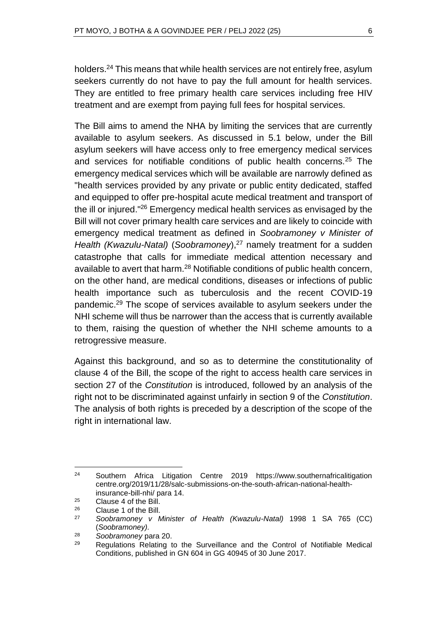holders.<sup>24</sup> This means that while health services are not entirely free, asylum seekers currently do not have to pay the full amount for health services. They are entitled to free primary health care services including free HIV treatment and are exempt from paying full fees for hospital services.

The Bill aims to amend the NHA by limiting the services that are currently available to asylum seekers. As discussed in 5.1 below, under the Bill asylum seekers will have access only to free emergency medical services and services for notifiable conditions of public health concerns.<sup>25</sup> The emergency medical services which will be available are narrowly defined as "health services provided by any private or public entity dedicated, staffed and equipped to offer pre-hospital acute medical treatment and transport of the ill or injured."<sup>26</sup> Emergency medical health services as envisaged by the Bill will not cover primary health care services and are likely to coincide with emergency medical treatment as defined in *Soobramoney v Minister of Health (Kwazulu-Natal)* (*Soobramoney*),<sup>27</sup> namely treatment for a sudden catastrophe that calls for immediate medical attention necessary and available to avert that harm.<sup>28</sup> Notifiable conditions of public health concern, on the other hand, are medical conditions, diseases or infections of public health importance such as tuberculosis and the recent COVID-19 pandemic.<sup>29</sup> The scope of services available to asylum seekers under the NHI scheme will thus be narrower than the access that is currently available to them, raising the question of whether the NHI scheme amounts to a retrogressive measure.

Against this background, and so as to determine the constitutionality of clause 4 of the Bill, the scope of the right to access health care services in section 27 of the *Constitution* is introduced, followed by an analysis of the right not to be discriminated against unfairly in section 9 of the *Constitution*. The analysis of both rights is preceded by a description of the scope of the right in international law.

<sup>24</sup> Southern Africa Litigation Centre 2019 https://www.southernafricalitigation centre.org/2019/11/28/salc-submissions-on-the-south-african-national-healthinsurance-bill-nhi/ para 14.

<sup>25</sup> Clause 4 of the Bill.

<sup>26</sup> Clause 1 of the Bill.

<sup>27</sup> *Soobramoney v Minister of Health (Kwazulu-Natal)* 1998 1 SA 765 (CC) (*Soobramoney).*

<sup>28</sup> *Soobramoney* para 20.

<sup>&</sup>lt;sup>29</sup> Regulations Relating to the Surveillance and the Control of Notifiable Medical Conditions, published in GN 604 in GG 40945 of 30 June 2017.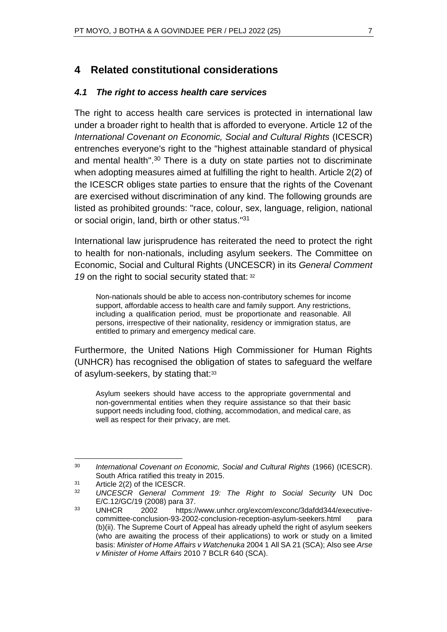## **4 Related constitutional considerations**

#### *4.1 The right to access health care services*

The right to access health care services is protected in international law under a broader right to health that is afforded to everyone. Article 12 of the *International Covenant on Economic, Social and Cultural Rights* (ICESCR) entrenches everyone's right to the "highest attainable standard of physical and mental health". <sup>30</sup> There is a duty on state parties not to discriminate when adopting measures aimed at fulfilling the right to health. Article 2(2) of the ICESCR obliges state parties to ensure that the rights of the Covenant are exercised without discrimination of any kind. The following grounds are listed as prohibited grounds: "race, colour, sex, language, religion, national or social origin, land, birth or other status."<sup>31</sup>

International law jurisprudence has reiterated the need to protect the right to health for non-nationals, including asylum seekers. The Committee on Economic, Social and Cultural Rights (UNCESCR) in its *General Comment*  19 on the right to social security stated that: 32

Non-nationals should be able to access non-contributory schemes for income support, affordable access to health care and family support. Any restrictions, including a qualification period, must be proportionate and reasonable. All persons, irrespective of their nationality, residency or immigration status, are entitled to primary and emergency medical care.

Furthermore, the United Nations High Commissioner for Human Rights (UNHCR) has recognised the obligation of states to safeguard the welfare of asylum-seekers, by stating that:<sup>33</sup>

Asylum seekers should have access to the appropriate governmental and non-governmental entities when they require assistance so that their basic support needs including food, clothing, accommodation, and medical care, as well as respect for their privacy, are met.

<sup>30</sup> *International Covenant on Economic, Social and Cultural Rights* (1966) (ICESCR). South Africa ratified this treaty in 2015.

 $31$  Article 2(2) of the ICESCR.

<sup>32</sup> *UNCESCR General Comment 19: The Right to Social Security* UN Doc E/C.12/GC/19 (2008) para 37.

<sup>33</sup> UNHCR 2002 https://www.unhcr.org/excom/exconc/3dafdd344/executivecommittee-conclusion-93-2002-conclusion-reception-asylum-seekers.html para (b)(ii). The Supreme Court of Appeal has already upheld the right of asylum seekers (who are awaiting the process of their applications) to work or study on a limited basis: *Minister of Home Affairs v Watchenuka* 2004 1 All SA 21 (SCA); Also see *Arse v Minister of Home Affairs* 2010 7 BCLR 640 (SCA).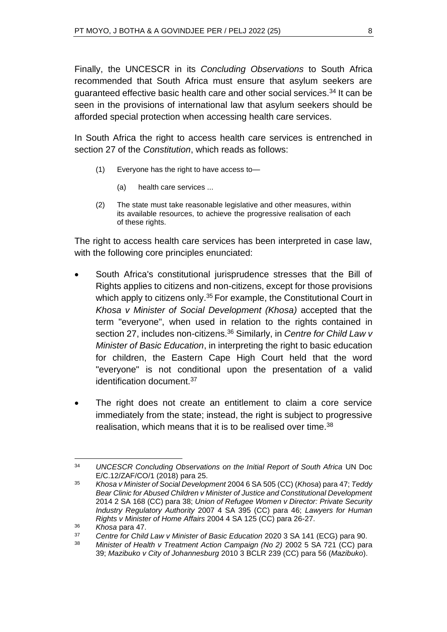Finally, the UNCESCR in its *Concluding Observations* to South Africa recommended that South Africa must ensure that asylum seekers are guaranteed effective basic health care and other social services.<sup>34</sup> It can be seen in the provisions of international law that asylum seekers should be afforded special protection when accessing health care services.

In South Africa the right to access health care services is entrenched in section 27 of the *Constitution*, which reads as follows:

- (1) Everyone has the right to have access to—
	- (a) health care services ...
- (2) The state must take reasonable legislative and other measures, within its available resources, to achieve the progressive realisation of each of these rights.

The right to access health care services has been interpreted in case law, with the following core principles enunciated:

- South Africa's constitutional jurisprudence stresses that the Bill of Rights applies to citizens and non-citizens, except for those provisions which apply to citizens only.<sup>35</sup> For example, the Constitutional Court in *Khosa v Minister of Social Development (Khosa)* accepted that the term "everyone", when used in relation to the rights contained in section 27, includes non-citizens.<sup>36</sup> Similarly, in *Centre for Child Law v Minister of Basic Education*, in interpreting the right to basic education for children, the Eastern Cape High Court held that the word "everyone" is not conditional upon the presentation of a valid identification document.<sup>37</sup>
- The right does not create an entitlement to claim a core service immediately from the state; instead, the right is subject to progressive realisation, which means that it is to be realised over time.<sup>38</sup>

<sup>34</sup> *UNCESCR Concluding Observations on the Initial Report of South Africa* UN Doc E/C.12/ZAF/CO/1 (2018) para 25.

<sup>35</sup> *Khosa v Minister of Social Development* 2004 6 SA 505 (CC) (*Khosa*) para 47; *Teddy Bear Clinic for Abused Children v Minister of Justice and Constitutional Development*  2014 2 SA 168 (CC) para 38; *Union of Refugee Women v Director: Private Security Industry Regulatory Authority* 2007 4 SA 395 (CC) para 46; *Lawyers for Human Rights v Minister of Home Affairs* 2004 4 SA 125 (CC) para 26-27.

<sup>36</sup> *Khosa* para 47.

<sup>37</sup> *Centre for Child Law v Minister of Basic Education* 2020 3 SA 141 (ECG) para 90.

<sup>&</sup>lt;sup>38</sup> Minister of Health v Treatment Action Campaign (No 2) 2002 5 SA 721 (CC) para 39; *Mazibuko v City of Johannesburg* 2010 3 BCLR 239 (CC) para 56 (*Mazibuko*).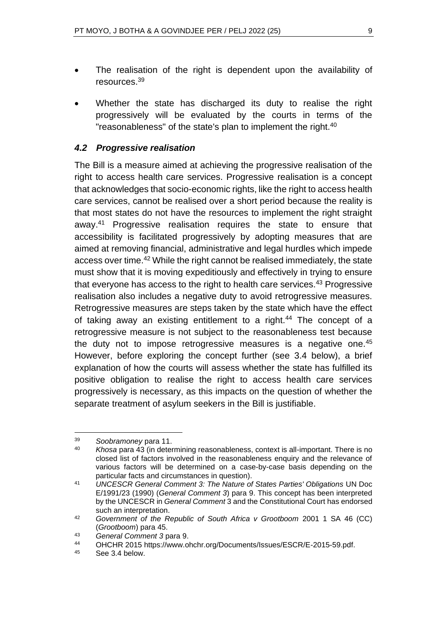- The realisation of the right is dependent upon the availability of resources.<sup>39</sup>
- Whether the state has discharged its duty to realise the right progressively will be evaluated by the courts in terms of the "reasonableness" of the state's plan to implement the right.<sup>40</sup>

#### *4.2 Progressive realisation*

The Bill is a measure aimed at achieving the progressive realisation of the right to access health care services. Progressive realisation is a concept that acknowledges that socio-economic rights, like the right to access health care services, cannot be realised over a short period because the reality is that most states do not have the resources to implement the right straight away.<sup>41</sup> Progressive realisation requires the state to ensure that accessibility is facilitated progressively by adopting measures that are aimed at removing financial, administrative and legal hurdles which impede access over time.<sup>42</sup> While the right cannot be realised immediately, the state must show that it is moving expeditiously and effectively in trying to ensure that everyone has access to the right to health care services.<sup>43</sup> Progressive realisation also includes a negative duty to avoid retrogressive measures. Retrogressive measures are steps taken by the state which have the effect of taking away an existing entitlement to a right.<sup>44</sup> The concept of a retrogressive measure is not subject to the reasonableness test because the duty not to impose retrogressive measures is a negative one.<sup>45</sup> However, before exploring the concept further (see 3.4 below), a brief explanation of how the courts will assess whether the state has fulfilled its positive obligation to realise the right to access health care services progressively is necessary, as this impacts on the question of whether the separate treatment of asylum seekers in the Bill is justifiable.

<sup>39</sup> *Soobramoney* para 11.

<sup>40</sup> *Khosa* para 43 (in determining reasonableness, context is all-important. There is no closed list of factors involved in the reasonableness enquiry and the relevance of various factors will be determined on a case-by-case basis depending on the particular facts and circumstances in question).

<sup>41</sup> *UNCESCR General Comment 3: The Nature of States Parties' Obligations* UN Doc E/1991/23 (1990) (*General Comment 3*) para 9. This concept has been interpreted by the UNCESCR in *General Comment* 3 and the Constitutional Court has endorsed such an interpretation.

<sup>42</sup> *Government of the Republic of South Africa v Grootboom* 2001 1 SA 46 (CC) (*Grootboom*) para 45.

<sup>43</sup> *General Comment 3* para 9.

<sup>44</sup> OHCHR 2015 https://www.ohchr.org/Documents/Issues/ESCR/E-2015-59.pdf.<br>45 See 3.4 below

See 3.4 below.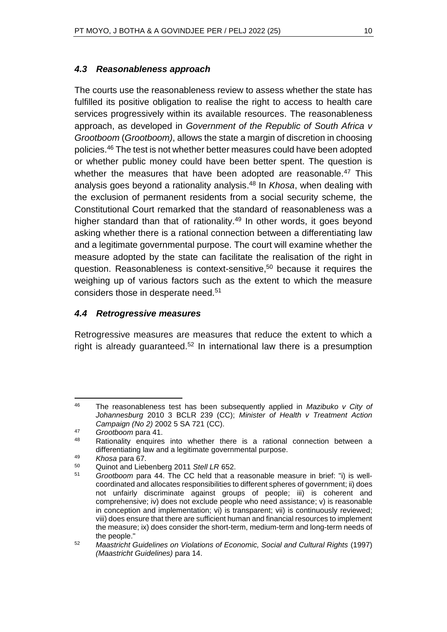#### *4.3 Reasonableness approach*

The courts use the reasonableness review to assess whether the state has fulfilled its positive obligation to realise the right to access to health care services progressively within its available resources. The reasonableness approach, as developed in *Government of the Republic of South Africa v Grootboom* (*Grootboom)*, allows the state a margin of discretion in choosing policies.<sup>46</sup> The test is not whether better measures could have been adopted or whether public money could have been better spent. The question is whether the measures that have been adopted are reasonable.<sup>47</sup> This analysis goes beyond a rationality analysis. <sup>48</sup> In *Khosa*, when dealing with the exclusion of permanent residents from a social security scheme*,* the Constitutional Court remarked that the standard of reasonableness was a higher standard than that of rationality.<sup>49</sup> In other words, it goes beyond asking whether there is a rational connection between a differentiating law and a legitimate governmental purpose. The court will examine whether the measure adopted by the state can facilitate the realisation of the right in question. Reasonableness is context-sensitive,<sup>50</sup> because it requires the weighing up of various factors such as the extent to which the measure considers those in desperate need.<sup>51</sup>

## *4.4 Retrogressive measures*

Retrogressive measures are measures that reduce the extent to which a right is already guaranteed.<sup>52</sup> In international law there is a presumption

<sup>46</sup> The reasonableness test has been subsequently applied in *Mazibuko v City of Johannesburg* 2010 3 BCLR 239 (CC); *Minister of Health v Treatment Action Campaign (No 2)* 2002 5 SA 721 (CC).

<sup>47</sup> *Grootboom* para 41.

Rationality enquires into whether there is a rational connection between a differentiating law and a legitimate governmental purpose.

<sup>49</sup> *Khosa* para 67.

<sup>50</sup> Quinot and Liebenberg 2011 *Stell LR* 652.

<sup>51</sup> *Grootboom* para 44. The CC held that a reasonable measure in brief: "i) is wellcoordinated and allocates responsibilities to different spheres of government; ii) does not unfairly discriminate against groups of people; iii) is coherent and comprehensive; iv) does not exclude people who need assistance; v) is reasonable in conception and implementation; vi) is transparent; vii) is continuously reviewed; viii) does ensure that there are sufficient human and financial resources to implement the measure; ix) does consider the short-term, medium-term and long-term needs of the people."

<sup>52</sup> *Maastricht Guidelines on Violations of Economic, Social and Cultural Rights* (1997) *(Maastricht Guidelines)* para 14.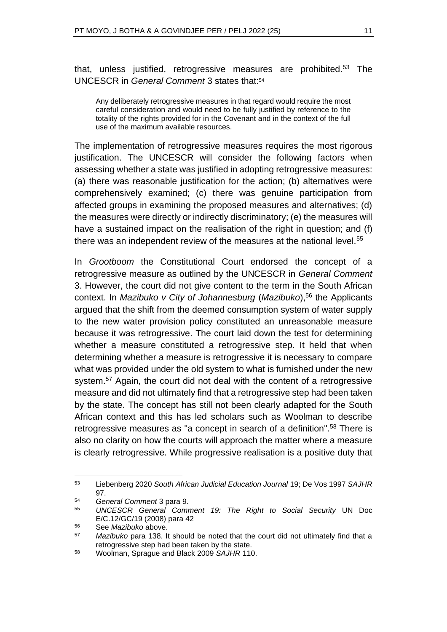that, unless justified, retrogressive measures are prohibited.<sup>53</sup> The UNCESCR in *General Comment* 3 states that: 54

Any deliberately retrogressive measures in that regard would require the most careful consideration and would need to be fully justified by reference to the totality of the rights provided for in the Covenant and in the context of the full use of the maximum available resources.

The implementation of retrogressive measures requires the most rigorous justification. The UNCESCR will consider the following factors when assessing whether a state was justified in adopting retrogressive measures: (a) there was reasonable justification for the action; (b) alternatives were comprehensively examined; (c) there was genuine participation from affected groups in examining the proposed measures and alternatives; (d) the measures were directly or indirectly discriminatory; (e) the measures will have a sustained impact on the realisation of the right in question; and (f) there was an independent review of the measures at the national level.<sup>55</sup>

In *Grootboom* the Constitutional Court endorsed the concept of a retrogressive measure as outlined by the UNCESCR in *General Comment* 3. However, the court did not give content to the term in the South African context. In *Mazibuko v City of Johannesburg* (*Mazibuko*),<sup>56</sup> the Applicants argued that the shift from the deemed consumption system of water supply to the new water provision policy constituted an unreasonable measure because it was retrogressive. The court laid down the test for determining whether a measure constituted a retrogressive step. It held that when determining whether a measure is retrogressive it is necessary to compare what was provided under the old system to what is furnished under the new system.<sup>57</sup> Again, the court did not deal with the content of a retrogressive measure and did not ultimately find that a retrogressive step had been taken by the state. The concept has still not been clearly adapted for the South African context and this has led scholars such as Woolman to describe retrogressive measures as "a concept in search of a definition".<sup>58</sup> There is also no clarity on how the courts will approach the matter where a measure is clearly retrogressive. While progressive realisation is a positive duty that

<sup>53</sup> Liebenberg 2020 *South African Judicial Education Journal* 19; De Vos 1997 *SAJHR* 97.

<sup>54</sup> *General Comment* 3 para 9.

<sup>55</sup> *UNCESCR General Comment 19: The Right to Social Security* UN Doc E/C.12/GC/19 (2008) para 42

<sup>56</sup> See *Mazibuko* above.

<sup>57</sup> *Mazibuko* para 138. It should be noted that the court did not ultimately find that a retrogressive step had been taken by the state.

<sup>58</sup> Woolman, Sprague and Black 2009 *SAJHR* 110.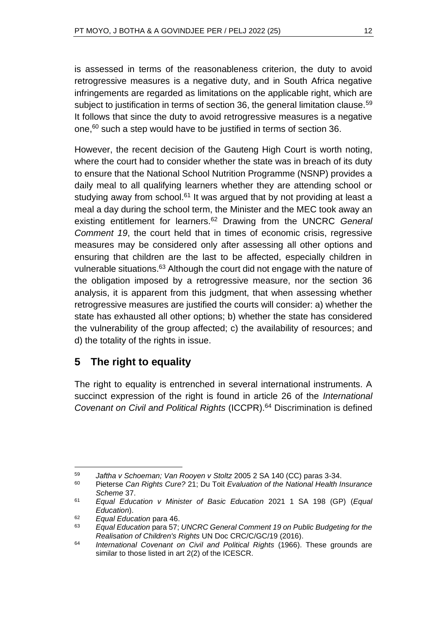is assessed in terms of the reasonableness criterion, the duty to avoid retrogressive measures is a negative duty, and in South Africa negative infringements are regarded as limitations on the applicable right, which are subject to justification in terms of section 36, the general limitation clause.<sup>59</sup> It follows that since the duty to avoid retrogressive measures is a negative one,<sup>60</sup> such a step would have to be justified in terms of section 36.

However, the recent decision of the Gauteng High Court is worth noting, where the court had to consider whether the state was in breach of its duty to ensure that the National School Nutrition Programme (NSNP) provides a daily meal to all qualifying learners whether they are attending school or studying away from school.<sup>61</sup> It was argued that by not providing at least a meal a day during the school term, the Minister and the MEC took away an existing entitlement for learners.<sup>62</sup> Drawing from the UNCRC *General Comment 19*, the court held that in times of economic crisis, regressive measures may be considered only after assessing all other options and ensuring that children are the last to be affected, especially children in vulnerable situations.<sup>63</sup> Although the court did not engage with the nature of the obligation imposed by a retrogressive measure, nor the section 36 analysis, it is apparent from this judgment, that when assessing whether retrogressive measures are justified the courts will consider: a) whether the state has exhausted all other options; b) whether the state has considered the vulnerability of the group affected; c) the availability of resources; and d) the totality of the rights in issue.

# **5 The right to equality**

The right to equality is entrenched in several international instruments. A succinct expression of the right is found in article 26 of the *International Covenant on Civil and Political Rights* (ICCPR).<sup>64</sup> Discrimination is defined

<sup>59</sup> *Jaftha v Schoeman; Van Rooyen v Stoltz* 2005 2 SA 140 (CC) paras 3-34.

<sup>60</sup> Pieterse *Can Rights Cure?* 21; Du Toit *Evaluation of the National Health Insurance Scheme* 37.

<sup>61</sup> *Equal Education v Minister of Basic Education* 2021 1 SA 198 (GP) (*Equal Education*).

<sup>62</sup> *Equal Education* para 46.

<sup>63</sup> *Equal Education* para 57; *UNCRC General Comment 19 on Public Budgeting for the Realisation of Children's Rights* UN Doc CRC/C/GC/19 (2016).

<sup>64</sup> *International Covenant on Civil and Political Rights* (1966). These grounds are similar to those listed in art 2(2) of the ICESCR.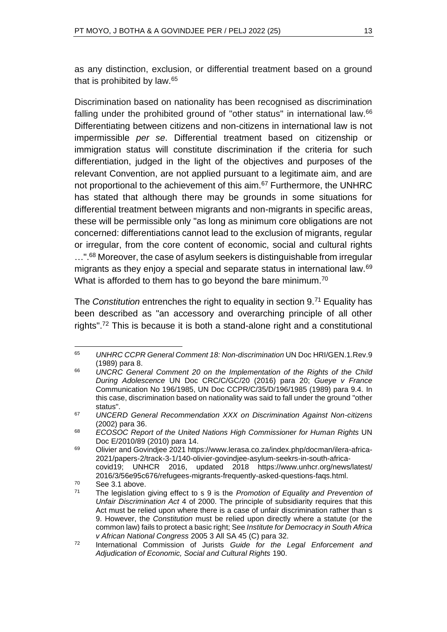as any distinction, exclusion, or differential treatment based on a ground that is prohibited by law.<sup>65</sup>

Discrimination based on nationality has been recognised as discrimination falling under the prohibited ground of "other status" in international law.<sup>66</sup> Differentiating between citizens and non-citizens in international law is not impermissible *per se*. Differential treatment based on citizenship or immigration status will constitute discrimination if the criteria for such differentiation, judged in the light of the objectives and purposes of the relevant Convention, are not applied pursuant to a legitimate aim, and are not proportional to the achievement of this aim.<sup>67</sup> Furthermore, the UNHRC has stated that although there may be grounds in some situations for differential treatment between migrants and non-migrants in specific areas, these will be permissible only "as long as minimum core obligations are not concerned: differentiations cannot lead to the exclusion of migrants, regular or irregular, from the core content of economic, social and cultural rights ...".<sup>68</sup> Moreover, the case of asylum seekers is distinguishable from irregular migrants as they enjoy a special and separate status in international law.<sup>69</sup> What is afforded to them has to go beyond the bare minimum.<sup>70</sup>

The *Constitution* entrenches the right to equality in section 9.<sup>71</sup> Equality has been described as "an accessory and overarching principle of all other rights".<sup>72</sup> This is because it is both a stand-alone right and a constitutional

<sup>65</sup> *UNHRC CCPR General Comment 18: Non-discrimination* UN Doc HRI/GEN.1.Rev.9 (1989) para 8.

<sup>66</sup> *UNCRC General Comment 20 on the Implementation of the Rights of the Child During Adolescence* UN Doc CRC/C/GC/20 (2016) para 20; *Gueye v France* Communication No 196/1985, UN Doc CCPR/C/35/D/196/1985 (1989) para 9.4. In this case, discrimination based on nationality was said to fall under the ground "other status".

<sup>67</sup> *UNCERD General Recommendation XXX on Discrimination Against Non-citizens* (2002) para 36.

<sup>68</sup> *ECOSOC Report of the United Nations High Commissioner for Human Rights* UN Doc E/2010/89 (2010) para 14.

<sup>69</sup> Olivier and Govindjee 2021 https://www.lerasa.co.za/index.php/docman/ilera-africa-2021/papers-2/track-3-1/140-olivier-govindjee-asylum-seekrs-in-south-africacovid19; UNHCR 2016, updated 2018 https://www.unhcr.org/news/latest/ 2016/3/56e95c676/refugees-migrants-frequently-asked-questions-faqs.html.

 $70$  See 3.1 above.

<sup>71</sup> The legislation giving effect to s 9 is the *Promotion of Equality and Prevention of Unfair Discrimination Act* 4 of 2000. The principle of subsidiarity requires that this Act must be relied upon where there is a case of unfair discrimination rather than s 9. However, the *Constitution* must be relied upon directly where a statute (or the common law) fails to protect a basic right; See *Institute for Democracy in South Africa v African National Congress* 2005 3 All SA 45 (C) para 32.

<sup>72</sup> International Commission of Jurists *Guide for the Legal Enforcement and Adjudication of Economic, Social and Cultural Rights* 190.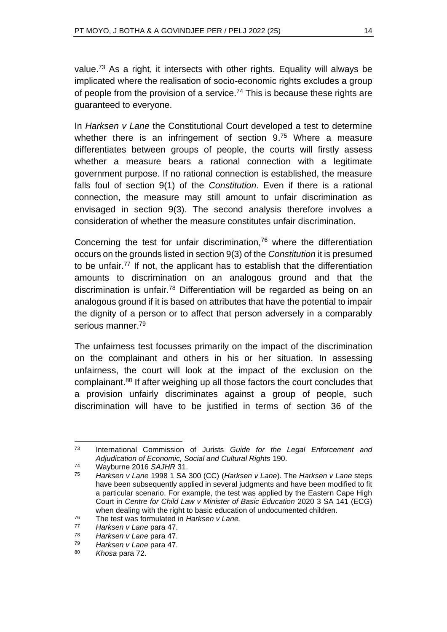value.<sup>73</sup> As a right, it intersects with other rights. Equality will always be implicated where the realisation of socio-economic rights excludes a group of people from the provision of a service.<sup>74</sup> This is because these rights are guaranteed to everyone.

In *Harksen v Lane* the Constitutional Court developed a test to determine whether there is an infringement of section 9.<sup>75</sup> Where a measure differentiates between groups of people, the courts will firstly assess whether a measure bears a rational connection with a legitimate government purpose. If no rational connection is established, the measure falls foul of section 9(1) of the *Constitution*. Even if there is a rational connection, the measure may still amount to unfair discrimination as envisaged in section 9(3). The second analysis therefore involves a consideration of whether the measure constitutes unfair discrimination.

Concerning the test for unfair discrimination, $76$  where the differentiation occurs on the grounds listed in section 9(3) of the *Constitution* it is presumed to be unfair.<sup>77</sup> If not, the applicant has to establish that the differentiation amounts to discrimination on an analogous ground and that the discrimination is unfair.<sup>78</sup> Differentiation will be regarded as being on an analogous ground if it is based on attributes that have the potential to impair the dignity of a person or to affect that person adversely in a comparably serious manner.<sup>79</sup>

The unfairness test focusses primarily on the impact of the discrimination on the complainant and others in his or her situation. In assessing unfairness, the court will look at the impact of the exclusion on the complainant.<sup>80</sup> If after weighing up all those factors the court concludes that a provision unfairly discriminates against a group of people, such discrimination will have to be justified in terms of section 36 of the

<sup>73</sup> International Commission of Jurists *Guide for the Legal Enforcement and Adjudication of Economic, Social and Cultural Rights* 190.

<sup>74</sup> Wayburne 2016 *SAJHR* 31.

<sup>75</sup> *Harksen v Lane* 1998 1 SA 300 (CC) (*Harksen v Lane*). The *Harksen v Lane* steps have been subsequently applied in several judgments and have been modified to fit a particular scenario. For example, the test was applied by the Eastern Cape High Court in *Centre for Child Law v Minister of Basic Education* 2020 3 SA 141 (ECG) when dealing with the right to basic education of undocumented children.

<sup>76</sup> The test was formulated in *Harksen v Lane.*

<sup>77</sup> *Harksen v Lane* para 47.

<sup>78</sup> *Harksen v Lane* para 47.

<sup>79</sup> *Harksen v Lane* para 47.

Khosa para 72.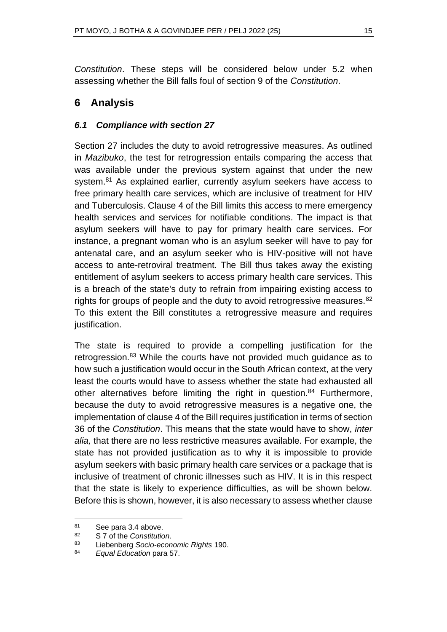*Constitution*. These steps will be considered below under 5.2 when assessing whether the Bill falls foul of section 9 of the *Constitution*.

# **6 Analysis**

## *6.1 Compliance with section 27*

Section 27 includes the duty to avoid retrogressive measures. As outlined in *Mazibuko*, the test for retrogression entails comparing the access that was available under the previous system against that under the new system.<sup>81</sup> As explained earlier, currently asylum seekers have access to free primary health care services, which are inclusive of treatment for HIV and Tuberculosis. Clause 4 of the Bill limits this access to mere emergency health services and services for notifiable conditions. The impact is that asylum seekers will have to pay for primary health care services. For instance, a pregnant woman who is an asylum seeker will have to pay for antenatal care, and an asylum seeker who is HIV-positive will not have access to ante-retroviral treatment. The Bill thus takes away the existing entitlement of asylum seekers to access primary health care services. This is a breach of the state's duty to refrain from impairing existing access to rights for groups of people and the duty to avoid retrogressive measures.  $82$ To this extent the Bill constitutes a retrogressive measure and requires justification.

The state is required to provide a compelling justification for the retrogression.<sup>83</sup> While the courts have not provided much guidance as to how such a justification would occur in the South African context, at the very least the courts would have to assess whether the state had exhausted all other alternatives before limiting the right in question.<sup>84</sup> Furthermore, because the duty to avoid retrogressive measures is a negative one, the implementation of clause 4 of the Bill requires justification in terms of section 36 of the *Constitution*. This means that the state would have to show, *inter alia,* that there are no less restrictive measures available. For example, the state has not provided justification as to why it is impossible to provide asylum seekers with basic primary health care services or a package that is inclusive of treatment of chronic illnesses such as HIV. It is in this respect that the state is likely to experience difficulties, as will be shown below. Before this is shown, however, it is also necessary to assess whether clause

 $81$  See para 3.4 above.<br> $82$  S 7 of the Constitution

<sup>82</sup> S 7 of the *Constitution*.

<sup>83</sup> Liebenberg *Socio-economic Rights* 190.

<sup>84</sup> *Equal Education* para 57.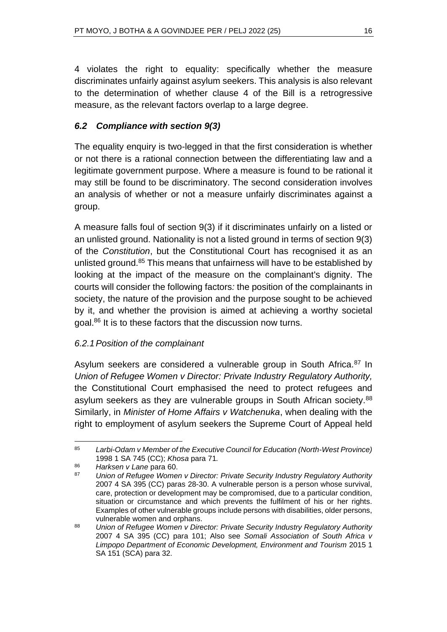4 violates the right to equality: specifically whether the measure discriminates unfairly against asylum seekers. This analysis is also relevant to the determination of whether clause 4 of the Bill is a retrogressive measure, as the relevant factors overlap to a large degree.

## *6.2 Compliance with section 9(3)*

The equality enquiry is two-legged in that the first consideration is whether or not there is a rational connection between the differentiating law and a legitimate government purpose. Where a measure is found to be rational it may still be found to be discriminatory. The second consideration involves an analysis of whether or not a measure unfairly discriminates against a group.

A measure falls foul of section 9(3) if it discriminates unfairly on a listed or an unlisted ground. Nationality is not a listed ground in terms of section 9(3) of the *Constitution*, but the Constitutional Court has recognised it as an unlisted ground.<sup>85</sup> This means that unfairness will have to be established by looking at the impact of the measure on the complainant's dignity. The courts will consider the following factors*:* the position of the complainants in society, the nature of the provision and the purpose sought to be achieved by it, and whether the provision is aimed at achieving a worthy societal goal.<sup>86</sup> It is to these factors that the discussion now turns.

#### *6.2.1Position of the complainant*

Asylum seekers are considered a vulnerable group in South Africa.<sup>87</sup> In *Union of Refugee Women v Director: Private Industry Regulatory Authority,* the Constitutional Court emphasised the need to protect refugees and asylum seekers as they are vulnerable groups in South African society.<sup>88</sup> Similarly, in *Minister of Home Affairs v Watchenuka*, when dealing with the right to employment of asylum seekers the Supreme Court of Appeal held

<sup>85</sup> *Larbi-Odam v Member of the Executive Council for Education (North-West Province)* 1998 1 SA 745 (CC); *Khosa* para 71*.*

<sup>86</sup> *Harksen v Lane* para 60.

<sup>87</sup> *Union of Refugee Women v Director: Private Security Industry Regulatory Authority*  2007 4 SA 395 (CC) paras 28-30. A vulnerable person is a person whose survival, care, protection or development may be compromised, due to a particular condition, situation or circumstance and which prevents the fulfilment of his or her rights. Examples of other vulnerable groups include persons with disabilities, older persons, vulnerable women and orphans.

<sup>88</sup> *Union of Refugee Women v Director: Private Security Industry Regulatory Authority* 2007 4 SA 395 (CC) para 101; Also see *Somali Association of South Africa v Limpopo Department of Economic Development, Environment and Tourism* 2015 1 SA 151 (SCA) para 32.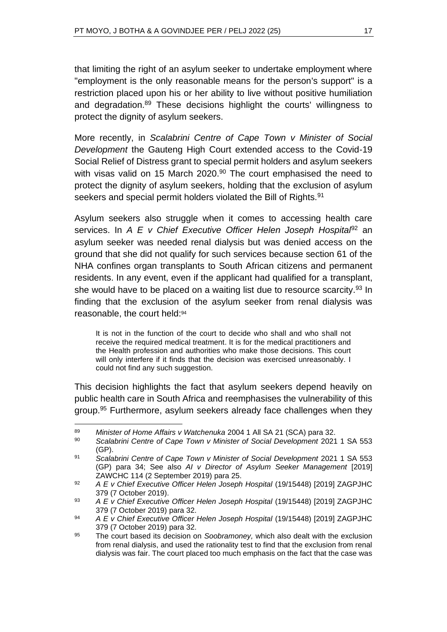that limiting the right of an asylum seeker to undertake employment where "employment is the only reasonable means for the person's support" is a restriction placed upon his or her ability to live without positive humiliation and degradation.<sup>89</sup> These decisions highlight the courts' willingness to protect the dignity of asylum seekers.

More recently, in *Scalabrini Centre of Cape Town v Minister of Social Development* the Gauteng High Court extended access to the Covid-19 Social Relief of Distress grant to special permit holders and asylum seekers with visas valid on 15 March 2020.<sup>90</sup> The court emphasised the need to protect the dignity of asylum seekers, holding that the exclusion of asylum seekers and special permit holders violated the Bill of Rights.<sup>91</sup>

Asylum seekers also struggle when it comes to accessing health care services. In *A E v Chief Executive Officer Helen Joseph Hospital*<sup>92</sup> an asylum seeker was needed renal dialysis but was denied access on the ground that she did not qualify for such services because section 61 of the NHA confines organ transplants to South African citizens and permanent residents. In any event, even if the applicant had qualified for a transplant, she would have to be placed on a waiting list due to resource scarcity.<sup>93</sup> In finding that the exclusion of the asylum seeker from renal dialysis was reasonable, the court held:<sup>94</sup>

It is not in the function of the court to decide who shall and who shall not receive the required medical treatment. It is for the medical practitioners and the Health profession and authorities who make those decisions. This court will only interfere if it finds that the decision was exercised unreasonably. I could not find any such suggestion.

This decision highlights the fact that asylum seekers depend heavily on public health care in South Africa and reemphasises the vulnerability of this group.<sup>95</sup> Furthermore, asylum seekers already face challenges when they

<sup>89</sup> *Minister of Home Affairs v Watchenuka* 2004 1 All SA 21 (SCA) para 32.

<sup>90</sup> *Scalabrini Centre of Cape Town v Minister of Social Development* 2021 1 SA 553 (GP).

<sup>91</sup> *Scalabrini Centre of Cape Town v Minister of Social Development* 2021 1 SA 553 (GP) para 34; See also *AI v Director of Asylum Seeker Management* [2019] ZAWCHC 114 (2 September 2019) para 25.

<sup>92</sup> *A E v Chief Executive Officer Helen Joseph Hospital* (19/15448) [2019] ZAGPJHC 379 (7 October 2019).

<sup>93</sup> *A E v Chief Executive Officer Helen Joseph Hospital* (19/15448) [2019] ZAGPJHC 379 (7 October 2019) para 32.

<sup>94</sup> *A E v Chief Executive Officer Helen Joseph Hospital* (19/15448) [2019] ZAGPJHC 379 (7 October 2019) para 32.

<sup>95</sup> The court based its decision on *Soobramoney,* which also dealt with the exclusion from renal dialysis, and used the rationality test to find that the exclusion from renal dialysis was fair. The court placed too much emphasis on the fact that the case was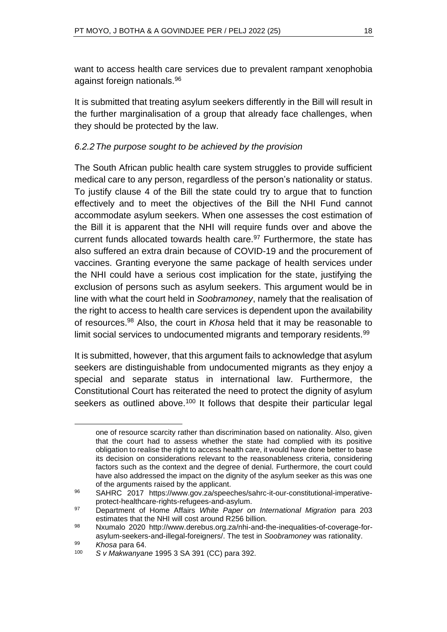want to access health care services due to prevalent rampant xenophobia against foreign nationals.<sup>96</sup>

It is submitted that treating asylum seekers differently in the Bill will result in the further marginalisation of a group that already face challenges, when they should be protected by the law.

## *6.2.2The purpose sought to be achieved by the provision*

The South African public health care system struggles to provide sufficient medical care to any person, regardless of the person's nationality or status. To justify clause 4 of the Bill the state could try to argue that to function effectively and to meet the objectives of the Bill the NHI Fund cannot accommodate asylum seekers. When one assesses the cost estimation of the Bill it is apparent that the NHI will require funds over and above the current funds allocated towards health care.<sup>97</sup> Furthermore, the state has also suffered an extra drain because of COVID-19 and the procurement of vaccines. Granting everyone the same package of health services under the NHI could have a serious cost implication for the state, justifying the exclusion of persons such as asylum seekers. This argument would be in line with what the court held in *Soobramoney*, namely that the realisation of the right to access to health care services is dependent upon the availability of resources.<sup>98</sup> Also, the court in *Khosa* held that it may be reasonable to limit social services to undocumented migrants and temporary residents.<sup>99</sup>

It is submitted, however, that this argument fails to acknowledge that asylum seekers are distinguishable from undocumented migrants as they enjoy a special and separate status in international law. Furthermore, the Constitutional Court has reiterated the need to protect the dignity of asylum seekers as outlined above.<sup>100</sup> It follows that despite their particular legal

one of resource scarcity rather than discrimination based on nationality. Also, given that the court had to assess whether the state had complied with its positive obligation to realise the right to access health care, it would have done better to base its decision on considerations relevant to the reasonableness criteria, considering factors such as the context and the degree of denial. Furthermore, the court could have also addressed the impact on the dignity of the asylum seeker as this was one of the arguments raised by the applicant.

<sup>96</sup> SAHRC 2017 https://www.gov.za/speeches/sahrc-it-our-constitutional-imperativeprotect-healthcare-rights-refugees-and-asylum.

<sup>97</sup> Department of Home Affairs *White Paper on International Migration* para 203 estimates that the NHI will cost around R256 billion.

<sup>98</sup> Nxumalo 2020 http://www.derebus.org.za/nhi-and-the-inequalities-of-coverage-forasylum-seekers-and-illegal-foreigners/. The test in *Soobramoney* was rationality.

<sup>99</sup> *Khosa* para 64.

<sup>100</sup> *S v Makwanyane* 1995 3 SA 391 (CC) para 392.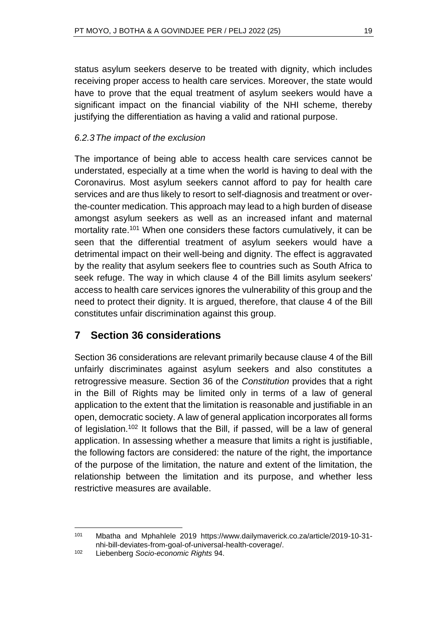status asylum seekers deserve to be treated with dignity, which includes receiving proper access to health care services. Moreover, the state would have to prove that the equal treatment of asylum seekers would have a significant impact on the financial viability of the NHI scheme, thereby justifying the differentiation as having a valid and rational purpose.

## *6.2.3The impact of the exclusion*

The importance of being able to access health care services cannot be understated, especially at a time when the world is having to deal with the Coronavirus. Most asylum seekers cannot afford to pay for health care services and are thus likely to resort to self-diagnosis and treatment or overthe-counter medication. This approach may lead to a high burden of disease amongst asylum seekers as well as an increased infant and maternal mortality rate.<sup>101</sup> When one considers these factors cumulatively, it can be seen that the differential treatment of asylum seekers would have a detrimental impact on their well-being and dignity. The effect is aggravated by the reality that asylum seekers flee to countries such as South Africa to seek refuge. The way in which clause 4 of the Bill limits asylum seekers' access to health care services ignores the vulnerability of this group and the need to protect their dignity. It is argued, therefore, that clause 4 of the Bill constitutes unfair discrimination against this group.

# **7 Section 36 considerations**

Section 36 considerations are relevant primarily because clause 4 of the Bill unfairly discriminates against asylum seekers and also constitutes a retrogressive measure. Section 36 of the *Constitution* provides that a right in the Bill of Rights may be limited only in terms of a law of general application to the extent that the limitation is reasonable and justifiable in an open, democratic society. A law of general application incorporates all forms of legislation.<sup>102</sup> It follows that the Bill, if passed, will be a law of general application. In assessing whether a measure that limits a right is justifiable, the following factors are considered: the nature of the right, the importance of the purpose of the limitation, the nature and extent of the limitation, the relationship between the limitation and its purpose, and whether less restrictive measures are available.

<sup>101</sup> Mbatha and Mphahlele 2019 https://www.dailymaverick.co.za/article/2019-10-31 nhi-bill-deviates-from-goal-of-universal-health-coverage/.

<sup>102</sup> Liebenberg *Socio-economic Rights* 94.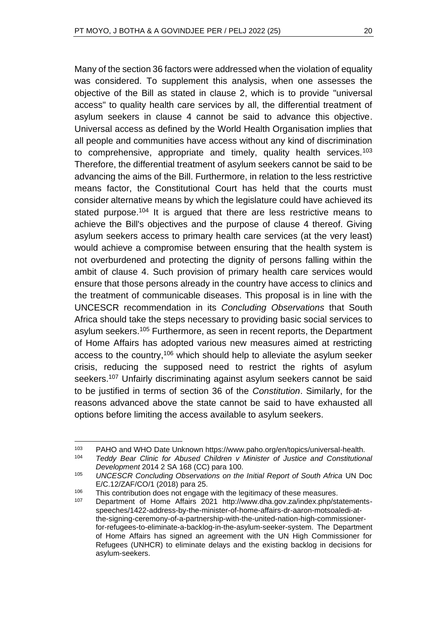Many of the section 36 factors were addressed when the violation of equality was considered. To supplement this analysis, when one assesses the objective of the Bill as stated in clause 2, which is to provide "universal access" to quality health care services by all, the differential treatment of asylum seekers in clause 4 cannot be said to advance this objective. Universal access as defined by the World Health Organisation implies that all people and communities have access without any kind of discrimination to comprehensive, appropriate and timely, quality health services.<sup>103</sup> Therefore, the differential treatment of asylum seekers cannot be said to be advancing the aims of the Bill. Furthermore, in relation to the less restrictive means factor, the Constitutional Court has held that the courts must consider alternative means by which the legislature could have achieved its stated purpose.<sup>104</sup> It is argued that there are less restrictive means to achieve the Bill's objectives and the purpose of clause 4 thereof. Giving asylum seekers access to primary health care services (at the very least) would achieve a compromise between ensuring that the health system is not overburdened and protecting the dignity of persons falling within the ambit of clause 4. Such provision of primary health care services would ensure that those persons already in the country have access to clinics and the treatment of communicable diseases. This proposal is in line with the UNCESCR recommendation in its *Concluding Observations* that South Africa should take the steps necessary to providing basic social services to asylum seekers.<sup>105</sup> Furthermore, as seen in recent reports, the Department of Home Affairs has adopted various new measures aimed at restricting access to the country,<sup>106</sup> which should help to alleviate the asylum seeker crisis, reducing the supposed need to restrict the rights of asylum seekers.<sup>107</sup> Unfairly discriminating against asylum seekers cannot be said to be justified in terms of section 36 of the *Constitution*. Similarly, for the reasons advanced above the state cannot be said to have exhausted all options before limiting the access available to asylum seekers.

<sup>103</sup> PAHO and WHO Date Unknown https://www.paho.org/en/topics/universal-health.<br>104 Teddy Bear Clinic for Abused Children y Minister of Justice and Constitution Teddy Bear Clinic for Abused Children v Minister of Justice and Constitutional *Development* 2014 2 SA 168 (CC) para 100.

<sup>105</sup> *UNCESCR Concluding Observations on the Initial Report of South Africa* UN Doc E/C.12/ZAF/CO/1 (2018) para 25.

<sup>&</sup>lt;sup>106</sup> This contribution does not engage with the legitimacy of these measures.<br><sup>107</sup> Penertment of Hame, *Marine* 2004, http://www.dhe.gov.ze/index.pho/ot

<sup>107</sup> Department of Home Affairs 2021 http://www.dha.gov.za/index.php/statementsspeeches/1422-address-by-the-minister-of-home-affairs-dr-aaron-motsoaledi-atthe-signing-ceremony-of-a-partnership-with-the-united-nation-high-commissionerfor-refugees-to-eliminate-a-backlog-in-the-asylum-seeker-system. The Department of Home Affairs has signed an agreement with the UN High Commissioner for Refugees (UNHCR) to eliminate delays and the existing backlog in decisions for asylum-seekers.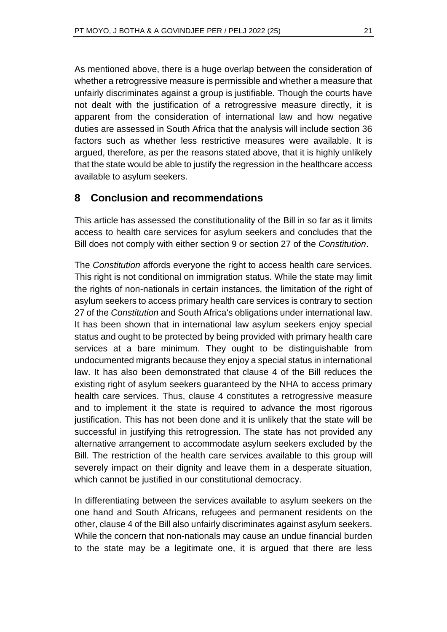As mentioned above, there is a huge overlap between the consideration of whether a retrogressive measure is permissible and whether a measure that unfairly discriminates against a group is justifiable. Though the courts have not dealt with the justification of a retrogressive measure directly, it is apparent from the consideration of international law and how negative duties are assessed in South Africa that the analysis will include section 36 factors such as whether less restrictive measures were available. It is argued, therefore, as per the reasons stated above, that it is highly unlikely that the state would be able to justify the regression in the healthcare access available to asylum seekers.

# **8 Conclusion and recommendations**

This article has assessed the constitutionality of the Bill in so far as it limits access to health care services for asylum seekers and concludes that the Bill does not comply with either section 9 or section 27 of the *Constitution*.

The *Constitution* affords everyone the right to access health care services. This right is not conditional on immigration status. While the state may limit the rights of non-nationals in certain instances, the limitation of the right of asylum seekers to access primary health care services is contrary to section 27 of the *Constitution* and South Africa's obligations under international law. It has been shown that in international law asylum seekers enjoy special status and ought to be protected by being provided with primary health care services at a bare minimum. They ought to be distinguishable from undocumented migrants because they enjoy a special status in international law. It has also been demonstrated that clause 4 of the Bill reduces the existing right of asylum seekers guaranteed by the NHA to access primary health care services. Thus, clause 4 constitutes a retrogressive measure and to implement it the state is required to advance the most rigorous justification. This has not been done and it is unlikely that the state will be successful in justifying this retrogression. The state has not provided any alternative arrangement to accommodate asylum seekers excluded by the Bill. The restriction of the health care services available to this group will severely impact on their dignity and leave them in a desperate situation, which cannot be justified in our constitutional democracy.

In differentiating between the services available to asylum seekers on the one hand and South Africans, refugees and permanent residents on the other, clause 4 of the Bill also unfairly discriminates against asylum seekers. While the concern that non-nationals may cause an undue financial burden to the state may be a legitimate one, it is argued that there are less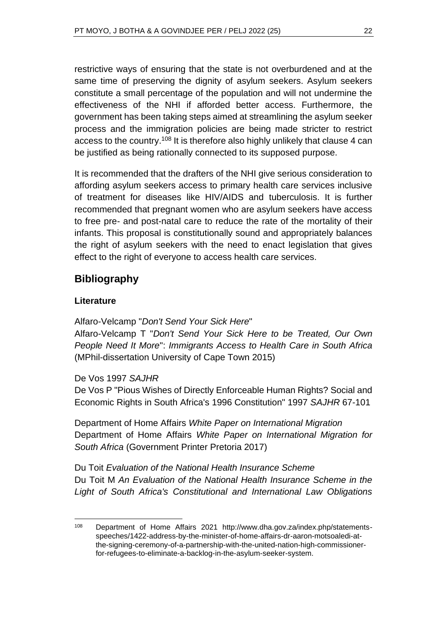restrictive ways of ensuring that the state is not overburdened and at the same time of preserving the dignity of asylum seekers. Asylum seekers constitute a small percentage of the population and will not undermine the effectiveness of the NHI if afforded better access. Furthermore, the government has been taking steps aimed at streamlining the asylum seeker process and the immigration policies are being made stricter to restrict access to the country.<sup>108</sup> It is therefore also highly unlikely that clause 4 can be justified as being rationally connected to its supposed purpose.

It is recommended that the drafters of the NHI give serious consideration to affording asylum seekers access to primary health care services inclusive of treatment for diseases like HIV/AIDS and tuberculosis. It is further recommended that pregnant women who are asylum seekers have access to free pre- and post-natal care to reduce the rate of the mortality of their infants. This proposal is constitutionally sound and appropriately balances the right of asylum seekers with the need to enact legislation that gives effect to the right of everyone to access health care services.

# **Bibliography**

#### **Literature**

Alfaro-Velcamp "*Don't Send Your Sick Here*"

Alfaro-Velcamp T "*Don't Send Your Sick Here to be Treated, Our Own People Need It More*": *Immigrants Access to Health Care in South Africa* (MPhil-dissertation University of Cape Town 2015)

#### De Vos 1997 *SAJHR*

De Vos P "Pious Wishes of Directly Enforceable Human Rights? Social and Economic Rights in South Africa's 1996 Constitution" 1997 *SAJHR* 67-101

Department of Home Affairs *White Paper on International Migration* Department of Home Affairs *White Paper on International Migration for South Africa* (Government Printer Pretoria 2017)

Du Toit *Evaluation of the National Health Insurance Scheme* Du Toit M *An Evaluation of the National Health Insurance Scheme in the Light of South Africa's Constitutional and International Law Obligations* 

<sup>108</sup> Department of Home Affairs 2021 http://www.dha.gov.za/index.php/statementsspeeches/1422-address-by-the-minister-of-home-affairs-dr-aaron-motsoaledi-atthe-signing-ceremony-of-a-partnership-with-the-united-nation-high-commissionerfor-refugees-to-eliminate-a-backlog-in-the-asylum-seeker-system.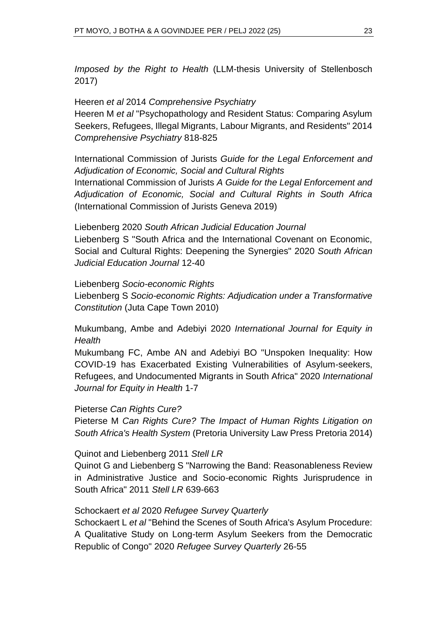*Imposed by the Right to Health* (LLM-thesis University of Stellenbosch 2017)

Heeren *et al* 2014 *Comprehensive Psychiatry*

Heeren M *et al* "Psychopathology and Resident Status: Comparing Asylum Seekers, Refugees, Illegal Migrants, Labour Migrants, and Residents" 2014 *Comprehensive Psychiatry* 818-825

International Commission of Jurists *Guide for the Legal Enforcement and Adjudication of Economic, Social and Cultural Rights*

International Commission of Jurists *A Guide for the Legal Enforcement and Adjudication of Economic, Social and Cultural Rights in South Africa* (International Commission of Jurists Geneva 2019)

Liebenberg 2020 *South African Judicial Education Journal* Liebenberg S "South Africa and the International Covenant on Economic, Social and Cultural Rights: Deepening the Synergies" 2020 *South African Judicial Education Journal* 12-40

Liebenberg *Socio-economic Rights*

Liebenberg S *Socio-economic Rights: Adjudication under a Transformative Constitution* (Juta Cape Town 2010)

Mukumbang, Ambe and Adebiyi 2020 *International Journal for Equity in Health*

Mukumbang FC, Ambe AN and Adebiyi BO "Unspoken Inequality: How COVID-19 has Exacerbated Existing Vulnerabilities of Asylum-seekers, Refugees, and Undocumented Migrants in South Africa" 2020 *International Journal for Equity in Health* 1-7

Pieterse *Can Rights Cure?*

Pieterse M *Can Rights Cure? The Impact of Human Rights Litigation on South Africa's Health System* (Pretoria University Law Press Pretoria 2014)

Quinot and Liebenberg 2011 *Stell LR*

Quinot G and Liebenberg S "Narrowing the Band: Reasonableness Review in Administrative Justice and Socio-economic Rights Jurisprudence in South Africa" 2011 *Stell LR* 639-663

#### Schockaert *et al* 2020 *Refugee Survey Quarterly*

Schockaert L *et al* "Behind the Scenes of South Africa's Asylum Procedure: A Qualitative Study on Long-term Asylum Seekers from the Democratic Republic of Congo" 2020 *Refugee Survey Quarterly* 26-55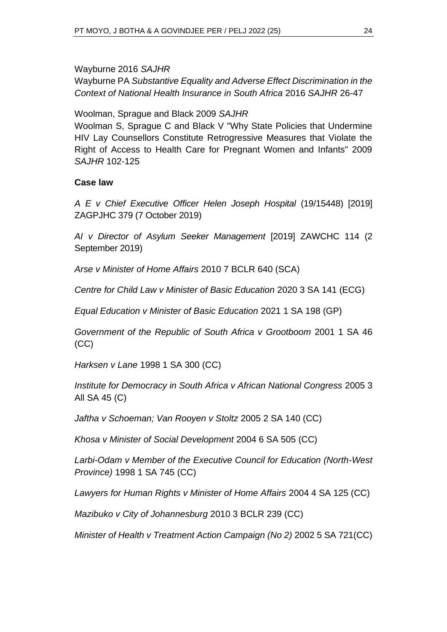Wayburne 2016 *SAJHR* Wayburne PA *Substantive Equality and Adverse Effect Discrimination in the Context of National Health Insurance in South Africa* 2016 *SAJHR* 26-47

Woolman, Sprague and Black 2009 *SAJHR*

Woolman S, Sprague C and Black V "Why State Policies that Undermine HIV Lay Counsellors Constitute Retrogressive Measures that Violate the Right of Access to Health Care for Pregnant Women and Infants" 2009 *SAJHR* 102-125

#### **Case law**

*A E v Chief Executive Officer Helen Joseph Hospital* (19/15448) [2019] ZAGPJHC 379 (7 October 2019)

*AI v Director of Asylum Seeker Management* [2019] ZAWCHC 114 (2 September 2019)

*Arse v Minister of Home Affairs* 2010 7 BCLR 640 (SCA)

*Centre for Child Law v Minister of Basic Education* 2020 3 SA 141 (ECG)

*Equal Education v Minister of Basic Education* 2021 1 SA 198 (GP)

*Government of the Republic of South Africa v Grootboom* 2001 1 SA 46 (CC)

*Harksen v Lane* 1998 1 SA 300 (CC)

*Institute for Democracy in South Africa v African National Congress* 2005 3 All SA 45 (C)

*Jaftha v Schoeman; Van Rooyen v Stoltz* 2005 2 SA 140 (CC)

*Khosa v Minister of Social Development* 2004 6 SA 505 (CC)

*Larbi-Odam v Member of the Executive Council for Education (North-West Province)* 1998 1 SA 745 (CC)

*Lawyers for Human Rights v Minister of Home Affairs* 2004 4 SA 125 (CC)

*Mazibuko v City of Johannesburg* 2010 3 BCLR 239 (CC)

*Minister of Health v Treatment Action Campaign (No 2)* 2002 5 SA 721(CC)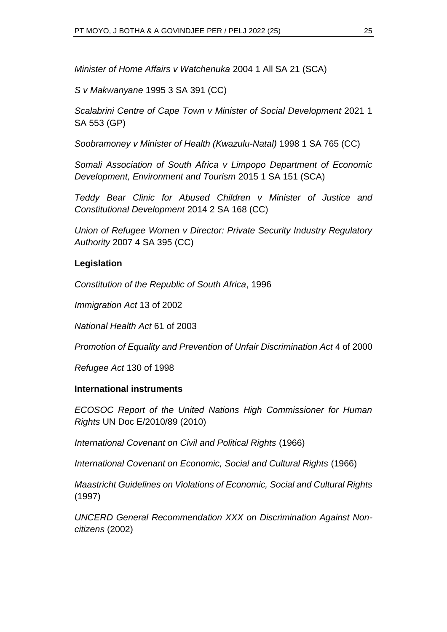*Minister of Home Affairs v Watchenuka* 2004 1 All SA 21 (SCA)

*S v Makwanyane* 1995 3 SA 391 (CC)

*Scalabrini Centre of Cape Town v Minister of Social Development* 2021 1 SA 553 (GP)

*Soobramoney v Minister of Health (Kwazulu-Natal)* 1998 1 SA 765 (CC)

*Somali Association of South Africa v Limpopo Department of Economic Development, Environment and Tourism* 2015 1 SA 151 (SCA)

*Teddy Bear Clinic for Abused Children v Minister of Justice and Constitutional Development* 2014 2 SA 168 (CC)

*Union of Refugee Women v Director: Private Security Industry Regulatory Authority* 2007 4 SA 395 (CC)

#### **Legislation**

*Constitution of the Republic of South Africa*, 1996

*Immigration Act* 13 of 2002

*National Health Act* 61 of 2003

*Promotion of Equality and Prevention of Unfair Discrimination Act* 4 of 2000

*Refugee Act* 130 of 1998

#### **International instruments**

*ECOSOC Report of the United Nations High Commissioner for Human Rights* UN Doc E/2010/89 (2010)

*International Covenant on Civil and Political Rights* (1966)

*International Covenant on Economic, Social and Cultural Rights* (1966)

*Maastricht Guidelines on Violations of Economic, Social and Cultural Rights*  (1997)

*UNCERD General Recommendation XXX on Discrimination Against Noncitizens* (2002)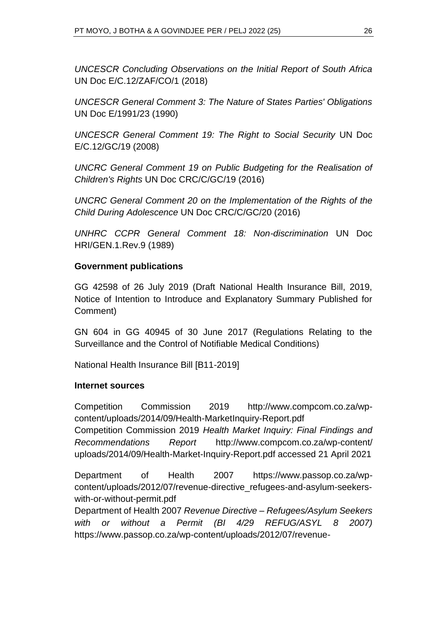*UNCESCR Concluding Observations on the Initial Report of South Africa*  UN Doc E/C.12/ZAF/CO/1 (2018)

*UNCESCR General Comment 3: The Nature of States Parties' Obligations*  UN Doc E/1991/23 (1990)

*UNCESCR General Comment 19: The Right to Social Security* UN Doc E/C.12/GC/19 (2008)

*UNCRC General Comment 19 on Public Budgeting for the Realisation of Children's Rights* UN Doc CRC/C/GC/19 (2016)

*UNCRC General Comment 20 on the Implementation of the Rights of the Child During Adolescence* UN Doc CRC/C/GC/20 (2016)

*UNHRC CCPR General Comment 18: Non-discrimination* UN Doc HRI/GEN.1.Rev.9 (1989)

#### **Government publications**

GG 42598 of 26 July 2019 (Draft National Health Insurance Bill, 2019, Notice of Intention to Introduce and Explanatory Summary Published for Comment)

GN 604 in GG 40945 of 30 June 2017 (Regulations Relating to the Surveillance and the Control of Notifiable Medical Conditions)

National Health Insurance Bill [B11-2019]

#### **Internet sources**

Competition Commission 2019 <http://www.compcom.co.za/wp>[content/uploads/2014/09/Health-MarketInquiry-Report.pdf](http://www.compcom.co.za/wp-content/uploads/2014/09/Health-Market-Inquiry-Report.pdf) Competition Commission 2019 *Health Market Inquiry: Final Findings and Recommendations Report* http://www.compcom.co.za/wp-content/ uploads/2014/09/Health-Market-Inquiry-Report.pdf accessed 21 April 2021

Department of Health 2007 https://www.passop.co.za/wpcontent/uploads/2012/07/revenue-directive\_refugees-and-asylum-seekerswith-or-without-permit.pdf

Department of Health 2007 *Revenue Directive – Refugees/Asylum Seekers with or without a Permit (BI 4/29 REFUG/ASYL 8 2007)* https://www.passop.co.za/wp-content/uploads/2012/07/revenue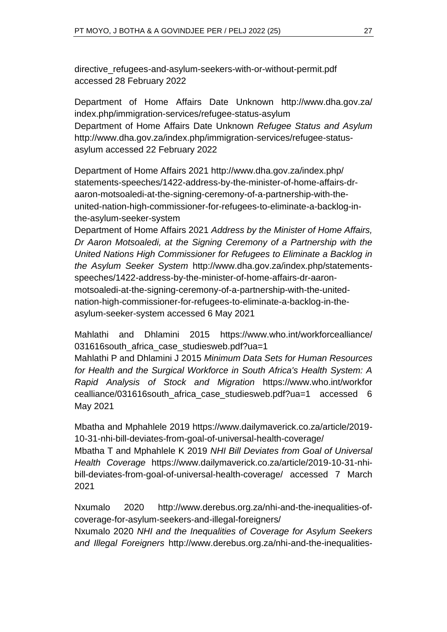directive\_refugees-and-asylum-seekers-with-or-without-permit.pdf accessed 28 February 2022

Department of Home Affairs Date Unknown http://www.dha.gov.za/ index.php/immigration-services/refugee-status-asylum Department of Home Affairs Date Unknown *Refugee Status and Asylum* http://www.dha.gov.za/index.php/immigration-services/refugee-statusasylum accessed 22 February 2022

Department of Home Affairs 2021 http://www.dha.gov.za/index.php/ statements-speeches/1422-address-by-the-minister-of-home-affairs-draaron-motsoaledi-at-the-signing-ceremony-of-a-partnership-with-theunited-nation-high-commissioner-for-refugees-to-eliminate-a-backlog-inthe-asylum-seeker-system

Department of Home Affairs 2021 *Address by the Minister of Home Affairs, Dr Aaron Motsoaledi, at the Signing Ceremony of a Partnership with the United Nations High Commissioner for Refugees to Eliminate a Backlog in the Asylum Seeker System* http://www.dha.gov.za/index.php/statementsspeeches/1422-address-by-the-minister-of-home-affairs-dr-aaronmotsoaledi-at-the-signing-ceremony-of-a-partnership-with-the-unitednation-high-commissioner-for-refugees-to-eliminate-a-backlog-in-theasylum-seeker-system accessed 6 May 2021

Mahlathi and Dhlamini 2015 https://www.who.int/workforcealliance/ 031616south africa case studiesweb.pdf?ua=1

Mahlathi P and Dhlamini J 2015 *Minimum Data Sets for Human Resources for Health and the Surgical Workforce in South Africa's Health System: A Rapid Analysis of Stock and Migration* https://www.who.int/workfor cealliance/031616south\_africa\_case\_studiesweb.pdf?ua=1 accessed 6 May 2021

Mbatha and Mphahlele 2019 https://www.dailymaverick.co.za/article/2019- 10-31-nhi-bill-deviates-from-goal-of-universal-health-coverage/

Mbatha T and Mphahlele K 2019 *NHI Bill Deviates from Goal of Universal Health Coverage* https://www.dailymaverick.co.za/article/2019-10-31-nhibill-deviates-from-goal-of-universal-health-coverage/ accessed 7 March 2021

Nxumalo 2020 http://www.derebus.org.za/nhi-and-the-inequalities-ofcoverage-for-asylum-seekers-and-illegal-foreigners/

Nxumalo 2020 *NHI and the Inequalities of Coverage for Asylum Seekers and Illegal Foreigners* [http://www.derebus.org.za/nhi-and-the-inequalities-](http://www.derebus.org.za/nhi-and-the-inequalities-of-coverage-for-asylum-seekers-and-illegal-foreigners/)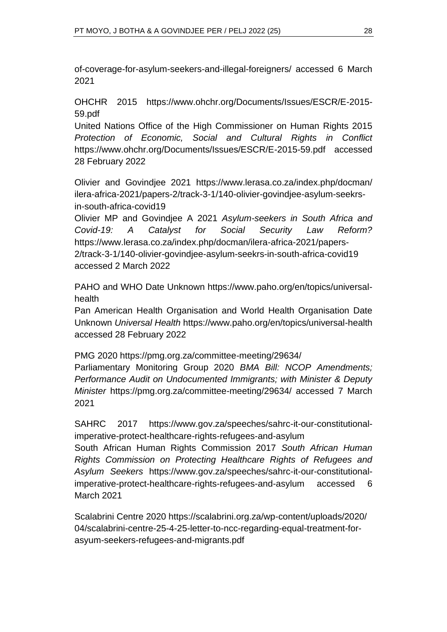[of-coverage-for-asylum-seekers-and-illegal-foreigners/](http://www.derebus.org.za/nhi-and-the-inequalities-of-coverage-for-asylum-seekers-and-illegal-foreigners/) accessed 6 March 2021

OHCHR 2015 https://www.ohchr.org/Documents/Issues/ESCR/E-2015- 59.pdf

United Nations Office of the High Commissioner on Human Rights 2015 *Protection of Economic, Social and Cultural Rights in Conflict* https://www.ohchr.org/Documents/Issues/ESCR/E-2015-59.pdf accessed 28 February 2022

Olivier and Govindjee 2021 https://www.lerasa.co.za/index.php/docman/ ilera-africa-2021/papers-2/track-3-1/140-olivier-govindjee-asylum-seekrsin-south-africa-covid19

Olivier MP and Govindjee A 2021 *Asylum-seekers in South Africa and Covid-19: A Catalyst for Social Security Law Reform?* https://www.lerasa.co.za/index.php/docman/ilera-africa-2021/papers-2/track-3-1/140-olivier-govindjee-asylum-seekrs-in-south-africa-covid19 accessed 2 March 2022

PAHO and WHO Date Unknown https://www.paho.org/en/topics/universalhealth

Pan American Health Organisation and World Health Organisation Date Unknown *Universal Health* https://www.paho.org/en/topics/universal-health accessed 28 February 2022

PMG 2020 https://pmg.org.za/committee-meeting/29634/

Parliamentary Monitoring Group 2020 *BMA Bill: NCOP Amendments; Performance Audit on Undocumented Immigrants; with Minister & Deputy Minister* https://pmg.org.za/committee-meeting/29634/ accessed 7 March 2021

SAHRC 2017 https://www.gov.za/speeches/sahrc-it-our-constitutionalimperative-protect-healthcare-rights-refugees-and-asylum

South African Human Rights Commission 2017 *South African Human Rights Commission on Protecting Healthcare Rights of Refugees and Asylum Seekers* https://www.gov.za/speeches/sahrc-it-our-constitutionalimperative-protect-healthcare-rights-refugees-and-asylum accessed 6 March 2021

Scalabrini Centre 2020 https://scalabrini.org.za/wp-content/uploads/2020/ 04/scalabrini-centre-25-4-25-letter-to-ncc-regarding-equal-treatment-forasyum-seekers-refugees-and-migrants.pdf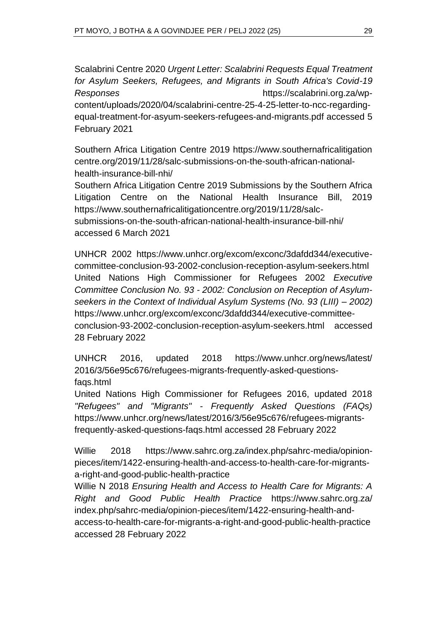Scalabrini Centre 2020 *Urgent Letter: Scalabrini Requests Equal Treatment for Asylum Seekers, Refugees, and Migrants in South Africa's Covid-19 Responses* https://scalabrini.org.za/wpcontent/uploads/2020/04/scalabrini-centre-25-4-25-letter-to-ncc-regardingequal-treatment-for-asyum-seekers-refugees-and-migrants.pdf accessed 5 February 2021

Southern Africa Litigation Centre 2019 https://www.southernafricalitigation centre.org/2019/11/28/salc-submissions-on-the-south-african-nationalhealth-insurance-bill-nhi/

Southern Africa Litigation Centre 2019 Submissions by the Southern Africa Litigation Centre on the National Health Insurance Bill, 2019 [https://www.southernafricalitigationcentre.org/2019/11/28/salc](https://www.southernafricalitigationcentre.org/2019/11/28/salc-submissions-on-the-south-african-national-health-insurance-bill-nhi/)[submissions-on-the-south-african-national-health-insurance-bill-nhi/](https://www.southernafricalitigationcentre.org/2019/11/28/salc-submissions-on-the-south-african-national-health-insurance-bill-nhi/) accessed 6 March 2021

UNHCR 2002 https://www.unhcr.org/excom/exconc/3dafdd344/executivecommittee-conclusion-93-2002-conclusion-reception-asylum-seekers.html United Nations High Commissioner for Refugees 2002 *Executive Committee Conclusion No. 93 - 2002: Conclusion on Reception of Asylumseekers in the Context of Individual Asylum Systems (No. 93 (LIII) – 2002)* https://www.unhcr.org/excom/exconc/3dafdd344/executive-committeeconclusion-93-2002-conclusion-reception-asylum-seekers.html accessed 28 February 2022

UNHCR 2016, updated 2018 https://www.unhcr.org/news/latest/ 2016/3/56e95c676/refugees-migrants-frequently-asked-questionsfaqs.html

United Nations High Commissioner for Refugees 2016, updated 2018 *"Refugees" and "Migrants" - Frequently Asked Questions (FAQs)* https://www.unhcr.org/news/latest/2016/3/56e95c676/refugees-migrantsfrequently-asked-questions-faqs.html accessed 28 February 2022

Willie 2018 https://www.sahrc.org.za/index.php/sahrc-media/opinionpieces/item/1422-ensuring-health-and-access-to-health-care-for-migrantsa-right-and-good-public-health-practice

Willie N 2018 *Ensuring Health and Access to Health Care for Migrants: A Right and Good Public Health Practice* https://www.sahrc.org.za/ index.php/sahrc-media/opinion-pieces/item/1422-ensuring-health-andaccess-to-health-care-for-migrants-a-right-and-good-public-health-practice accessed 28 February 2022